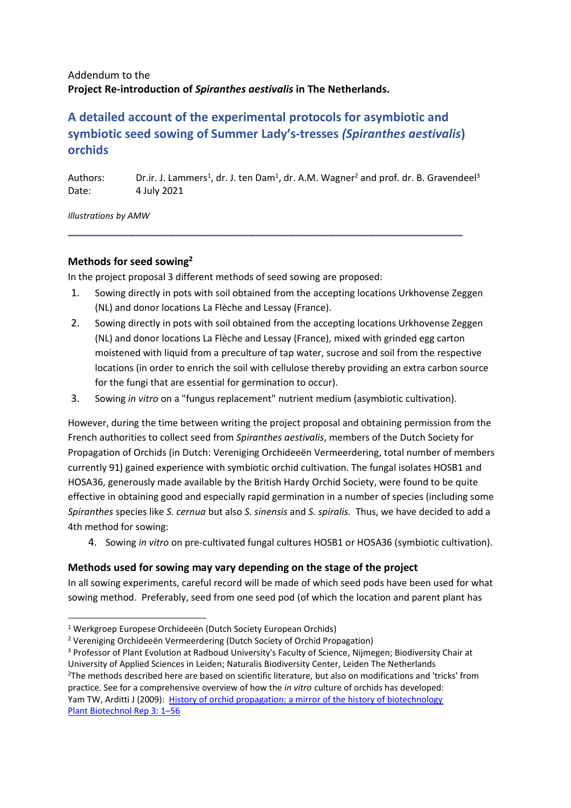## Addendum to the **Project Re-introduction of** *Spiranthes aestivalis* **in The Netherlands.**

# **A detailed account of the experimental protocols for asymbiotic and symbiotic seed sowing of Summer Lady's-tresses** *(Spiranthes aestivalis***) orchids**

Authors: Dr.ir. J. Lammers<sup>1</sup>, dr. J. ten Dam<sup>1</sup>, dr. A.M. Wagner<sup>2</sup> and prof. dr. B. Gravendeel<sup>3</sup> Date: 4 July 2021

**\_\_\_\_\_\_\_\_\_\_\_\_\_\_\_\_\_\_\_\_\_\_\_\_\_\_\_\_\_\_\_\_\_\_\_\_\_\_\_\_\_\_\_\_\_\_\_\_\_\_\_\_\_\_\_\_\_\_\_**

*Illustrations by AMW*

### **Methods for seed sowing<sup>2</sup>**

In the project proposal 3 different methods of seed sowing are proposed:

- 1. Sowing directly in pots with soil obtained from the accepting locations Urkhovense Zeggen (NL) and donor locations La Flèche and Lessay (France).
- 2. Sowing directly in pots with soil obtained from the accepting locations Urkhovense Zeggen (NL) and donor locations La Flèche and Lessay (France), mixed with grinded egg carton moistened with liquid from a preculture of tap water, sucrose and soil from the respective locations (in order to enrich the soil with cellulose thereby providing an extra carbon source for the fungi that are essential for germination to occur).
- 3. Sowing *in vitro* on a "fungus replacement" nutrient medium (asymbiotic cultivation).

However, during the time between writing the project proposal and obtaining permission from the French authorities to collect seed from *Spiranthes aestivalis*, members of the Dutch Society for Propagation of Orchids (in Dutch: Vereniging Orchideeën Vermeerdering, total number of members currently 91) gained experience with symbiotic orchid cultivation. The fungal isolates HOSB1 and HOSA36, generously made available by the British Hardy Orchid Society, were found to be quite effective in obtaining good and especially rapid germination in a number of species (including some *Spiranthes* species like *S. cernua* but also *S. sinensis* and *S. spiralis.* Thus, we have decided to add a 4th method for sowing:

4. Sowing *in vitro* on pre-cultivated fungal cultures HOSB1 or HOSA36 (symbiotic cultivation).

## **Methods used for sowing may vary depending on the stage of the project**

In all sowing experiments, careful record will be made of which seed pods have been used for what sowing method. Preferably, seed from one seed pod (of which the location and parent plant has

<sup>1</sup> Werkgroep Europese Orchideeën (Dutch Society European Orchids)

<sup>2</sup> Vereniging Orchideeën Vermeerdering (Dutch Society of Orchid Propagation)

<sup>3</sup> Professor of Plant Evolution at Radboud University's Faculty of Science, Nijmegen; Biodiversity Chair at University of Applied Sciences in Leiden; Naturalis Biodiversity Center, Leiden The Netherlands <sup>2</sup>The methods described here are based on scientific literature, but also on modifications and 'tricks' from practice. See for a comprehensive overview of how the *in vitro* culture of orchids has developed: Yam TW, Arditti J (2009): [History of orchid propagation: a mirror of the history of biotechnology](https://escholarship.org/uc/item/66z8r5sb) [Plant Biotechnol Rep 3: 1](https://escholarship.org/uc/item/66z8r5sb)–56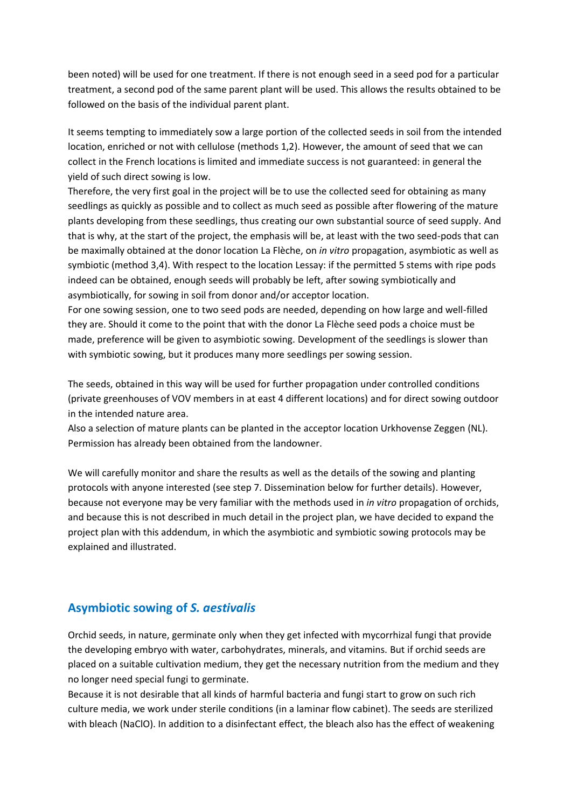been noted) will be used for one treatment. If there is not enough seed in a seed pod for a particular treatment, a second pod of the same parent plant will be used. This allows the results obtained to be followed on the basis of the individual parent plant.

It seems tempting to immediately sow a large portion of the collected seeds in soil from the intended location, enriched or not with cellulose (methods 1,2). However, the amount of seed that we can collect in the French locations is limited and immediate success is not guaranteed: in general the yield of such direct sowing is low.

Therefore, the very first goal in the project will be to use the collected seed for obtaining as many seedlings as quickly as possible and to collect as much seed as possible after flowering of the mature plants developing from these seedlings, thus creating our own substantial source of seed supply. And that is why, at the start of the project, the emphasis will be, at least with the two seed-pods that can be maximally obtained at the donor location La Flèche, on *in vitro* propagation, asymbiotic as well as symbiotic (method 3,4). With respect to the location Lessay: if the permitted 5 stems with ripe pods indeed can be obtained, enough seeds will probably be left, after sowing symbiotically and asymbiotically, for sowing in soil from donor and/or acceptor location.

For one sowing session, one to two seed pods are needed, depending on how large and well-filled they are. Should it come to the point that with the donor La Flèche seed pods a choice must be made, preference will be given to asymbiotic sowing. Development of the seedlings is slower than with symbiotic sowing, but it produces many more seedlings per sowing session.

The seeds, obtained in this way will be used for further propagation under controlled conditions (private greenhouses of VOV members in at east 4 different locations) and for direct sowing outdoor in the intended nature area.

Also a selection of mature plants can be planted in the acceptor location Urkhovense Zeggen (NL). Permission has already been obtained from the landowner.

We will carefully monitor and share the results as well as the details of the sowing and planting protocols with anyone interested (see step 7. Dissemination below for further details). However, because not everyone may be very familiar with the methods used in *in vitro* propagation of orchids, and because this is not described in much detail in the project plan, we have decided to expand the project plan with this addendum, in which the asymbiotic and symbiotic sowing protocols may be explained and illustrated.

## **Asymbiotic sowing of** *S. aestivalis*

Orchid seeds, in nature, germinate only when they get infected with mycorrhizal fungi that provide the developing embryo with water, carbohydrates, minerals, and vitamins. But if orchid seeds are placed on a suitable cultivation medium, they get the necessary nutrition from the medium and they no longer need special fungi to germinate.

Because it is not desirable that all kinds of harmful bacteria and fungi start to grow on such rich culture media, we work under sterile conditions (in a laminar flow cabinet). The seeds are sterilized with bleach (NaClO). In addition to a disinfectant effect, the bleach also has the effect of weakening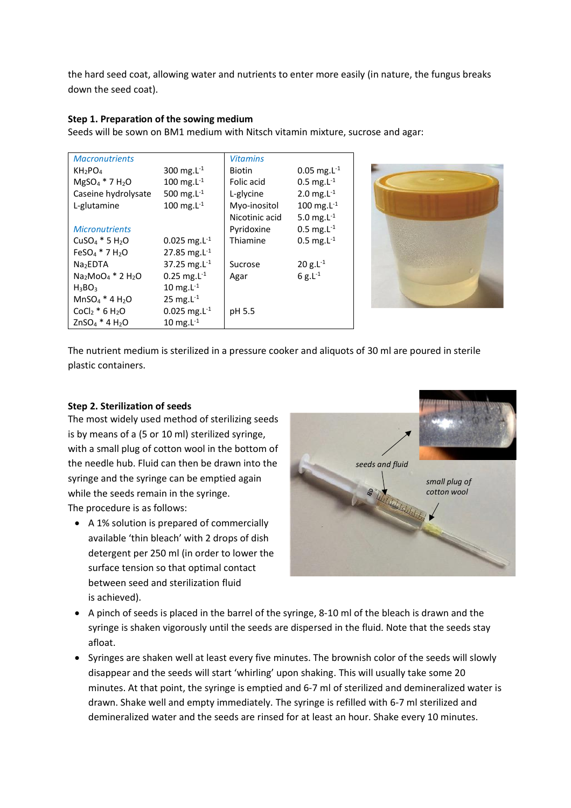the hard seed coat, allowing water and nutrients to enter more easily (in nature, the fungus breaks down the seed coat).

#### **Step 1. Preparation of the sowing medium**

Seeds will be sown on BM1 medium with Nitsch vitamin mixture, sucrose and agar:

| <b>Macronutrients</b>                                 |                             | <b>Vitamins</b> |                            |
|-------------------------------------------------------|-----------------------------|-----------------|----------------------------|
| KH <sub>2</sub> PO <sub>4</sub>                       | 300 mg. $L^{-1}$            | Biotin          | $0.05$ mg. L <sup>-1</sup> |
| $MgSO4 * 7 H2O$                                       | 100 mg. $L^{-1}$            | Folic acid      | $0.5$ mg. $L^{-1}$         |
| Caseine hydrolysate                                   | 500 mg. $L^{-1}$            | L-glycine       | 2.0 mg. $L^{-1}$           |
| L-glutamine                                           | 100 mg. $L^{-1}$            | Myo-inositol    | 100 mg. $L^{-1}$           |
|                                                       |                             | Nicotinic acid  | 5.0 mg. $L^{-1}$           |
| <b>Micronutrients</b>                                 |                             | Pyridoxine      | $0.5$ mg. $L^{-1}$         |
| $CuSO4 * 5 H2O$                                       | $0.025$ mg. L <sup>-1</sup> | Thiamine        | $0.5$ mg. $L^{-1}$         |
| $FeSO4 * 7 H2O$                                       | 27.85 mg. $L^{-1}$          |                 |                            |
| Na <sub>2</sub> EDTA                                  | 37.25 mg. $L^{-1}$          | Sucrose         | $20 g.L^{-1}$              |
| Na <sub>2</sub> MoO <sub>4</sub> * 2 H <sub>2</sub> O | $0.25$ mg. $L^{-1}$         | Agar            | 6 g. $L^{-1}$              |
| $H_3BO_3$                                             | 10 mg. $L^{-1}$             |                 |                            |
| $MnSO4 * 4 H2O$                                       | 25 mg. $L^{-1}$             |                 |                            |
| $CoCl2 * 6 H2O$                                       | $0.025$ mg. L <sup>-1</sup> | pH 5.5          |                            |
| $ZnSO4 * 4 H2O$                                       | 10 mg. $L^{-1}$             |                 |                            |



The nutrient medium is sterilized in a pressure cooker and aliquots of 30 ml are poured in sterile plastic containers.

#### **Step 2. Sterilization of seeds**

The most widely used method of sterilizing seeds is by means of a (5 or 10 ml) sterilized syringe, with a small plug of cotton wool in the bottom of the needle hub. Fluid can then be drawn into the syringe and the syringe can be emptied again while the seeds remain in the syringe. The procedure is as follows:

• A 1% solution is prepared of commercially available 'thin bleach' with 2 drops of dish detergent per 250 ml (in order to lower the surface tension so that optimal contact between seed and sterilization fluid is achieved).



- A pinch of seeds is placed in the barrel of the syringe, 8-10 ml of the bleach is drawn and the syringe is shaken vigorously until the seeds are dispersed in the fluid. Note that the seeds stay afloat.
- Syringes are shaken well at least every five minutes. The brownish color of the seeds will slowly disappear and the seeds will start 'whirling' upon shaking. This will usually take some 20 minutes. At that point, the syringe is emptied and 6-7 ml of sterilized and demineralized water is drawn. Shake well and empty immediately. The syringe is refilled with 6-7 ml sterilized and demineralized water and the seeds are rinsed for at least an hour. Shake every 10 minutes.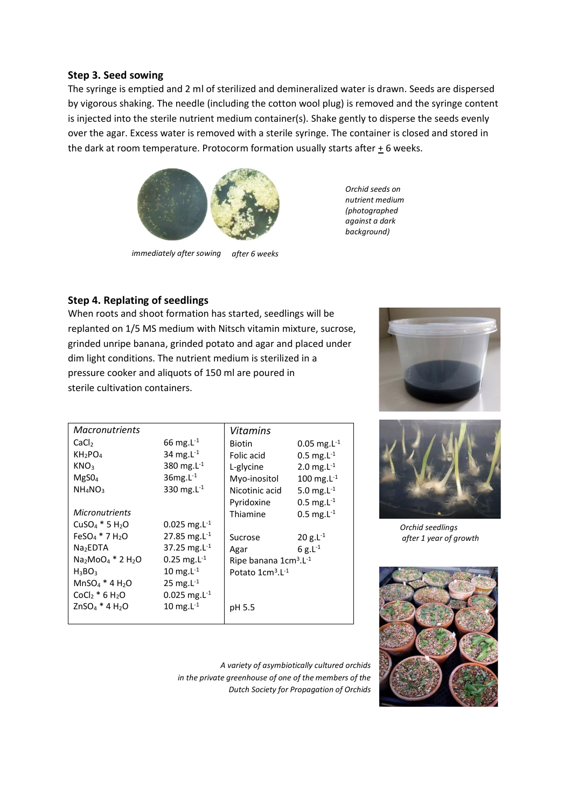#### **Step 3. Seed sowing**

The syringe is emptied and 2 ml of sterilized and demineralized water is drawn. Seeds are dispersed by vigorous shaking. The needle (including the cotton wool plug) is removed and the syringe content is injected into the sterile nutrient medium container(s). Shake gently to disperse the seeds evenly over the agar. Excess water is removed with a sterile syringe. The container is closed and stored in the dark at room temperature. Protocorm formation usually starts after  $\pm$  6 weeks.



*immediately after sowing after 6 weeks*

*Orchid seeds on nutrient medium (photographed against a dark background)* 

#### **Step 4. Replating of seedlings**

When roots and shoot formation has started, seedlings will be replanted on 1/5 MS medium with Nitsch vitamin mixture, sucrose, grinded unripe banana, grinded potato and agar and placed under dim light conditions. The nutrient medium is sterilized in a pressure cooker and aliquots of 150 ml are poured in sterile cultivation containers.

| <i>Macronutrients</i>           |                             | Vitamins                                      |                            |
|---------------------------------|-----------------------------|-----------------------------------------------|----------------------------|
| CaCl <sub>2</sub>               | 66 mg. $L^{-1}$             | <b>Biotin</b>                                 | $0.05$ mg. L <sup>-1</sup> |
| KH <sub>2</sub> PO <sub>4</sub> | 34 mg. $L^{-1}$             | Folic acid                                    | $0.5$ mg. $L^{-1}$         |
| KNO <sub>3</sub>                | 380 mg. $L^{-1}$            | L-glycine                                     | 2.0 mg. $L^{-1}$           |
| MgSO <sub>4</sub>               | $36$ mg. $L-1$              | Myo-inositol                                  | 100 mg. $L^{-1}$           |
| $NH_4NO_3$                      | 330 mg. $L^{-1}$            | Nicotinic acid                                | 5.0 mg. $L^{-1}$           |
|                                 |                             | Pyridoxine                                    | $0.5$ mg. $L^{-1}$         |
| <b>Micronutrients</b>           |                             | Thiamine                                      | $0.5$ mg. $L^{-1}$         |
| $CuSO4 * 5 H2O$                 | $0.025$ mg. L <sup>-1</sup> |                                               |                            |
| $FeSO4 * 7 H2O$                 | 27.85 mg. $L^{-1}$          | Sucrose                                       | $20$ g.L <sup>-1</sup>     |
| Na <sub>2</sub> EDTA            | 37.25 mg. $L^{-1}$          | Agar                                          | 6 g. $L^{-1}$              |
| $Na2MoO4 * 2 H2O$               | $0.25$ mg. L <sup>-1</sup>  | Ripe banana 1cm <sup>3</sup> .L <sup>-1</sup> |                            |
| $H_3BO_3$                       | 10 mg. $L^{-1}$             | Potato $1 \text{cm}^3$ . $L^{-1}$             |                            |
| $MnSO4 * 4 H2O$                 | 25 mg. $L^{-1}$             |                                               |                            |
| $CoCl2 * 6 H2O$                 | $0.025$ mg. L <sup>-1</sup> |                                               |                            |
| $ZnSO4 * 4 H2O$                 | 10 mg. $L^{-1}$             | pH 5.5                                        |                            |





*Orchid seedlings after 1 year of growth*



*A variety of asymbiotically cultured orchids in the private greenhouse of one of the members of the Dutch Society for Propagation of Orchids*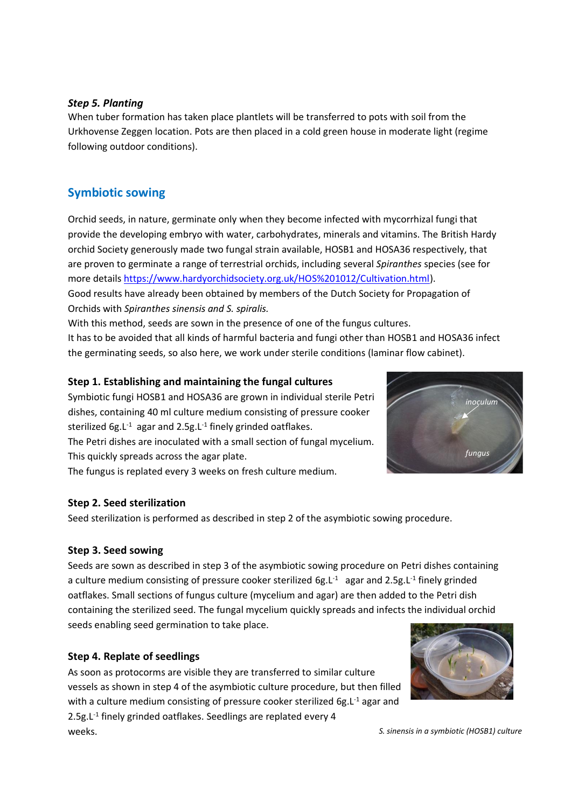#### *Step 5. Planting*

When tuber formation has taken place plantlets will be transferred to pots with soil from the Urkhovense Zeggen location. Pots are then placed in a cold green house in moderate light (regime following outdoor conditions).

## **Symbiotic sowing**

Orchid seeds, in nature, germinate only when they become infected with mycorrhizal fungi that provide the developing embryo with water, carbohydrates, minerals and vitamins. The British Hardy orchid Society generously made two fungal strain available, HOSB1 and HOSA36 respectively, that are proven to germinate a range of terrestrial orchids, including several *Spiranthes* species (see for more details [https://www.hardyorchidsociety.org.uk/HOS%201012/Cultivation.html\)](https://www.hardyorchidsociety.org.uk/HOS%201012/Cultivation.html).

Good results have already been obtained by members of the Dutch Society for Propagation of Orchids with *Spiranthes sinensis and S. spiralis.*

With this method, seeds are sown in the presence of one of the fungus cultures.

It has to be avoided that all kinds of harmful bacteria and fungi other than HOSB1 and HOSA36 infect the germinating seeds, so also here, we work under sterile conditions (laminar flow cabinet).

## **Step 1. Establishing and maintaining the fungal cultures**

Symbiotic fungi HOSB1 and HOSA36 are grown in individual sterile Petri dishes, containing 40 ml culture medium consisting of pressure cooker sterilized 6g.L $^{-1}$  agar and 2.5g.L $^{-1}$  finely grinded oatflakes. The Petri dishes are inoculated with a small section of fungal mycelium. This quickly spreads across the agar plate.



The fungus is replated every 3 weeks on fresh culture medium.

## **Step 2. Seed sterilization**

Seed sterilization is performed as described in step 2 of the asymbiotic sowing procedure.

## **Step 3. Seed sowing**

Seeds are sown as described in step 3 of the asymbiotic sowing procedure on Petri dishes containing a culture medium consisting of pressure cooker sterilized 6g.L<sup>-1</sup> agar and 2.5g.L<sup>-1</sup> finely grinded oatflakes. Small sections of fungus culture (mycelium and agar) are then added to the Petri dish containing the sterilized seed. The fungal mycelium quickly spreads and infects the individual orchid seeds enabling seed germination to take place.

## **Step 4. Replate of seedlings**

As soon as protocorms are visible they are transferred to similar culture vessels as shown in step 4 of the asymbiotic culture procedure, but then filled with a culture medium consisting of pressure cooker sterilized 6g.L<sup>-1</sup> agar and 2.5g. L<sup>-1</sup> finely grinded oatflakes. Seedlings are replated every 4 weeks.



*S. sinensis in a symbiotic (HOSB1) culture*